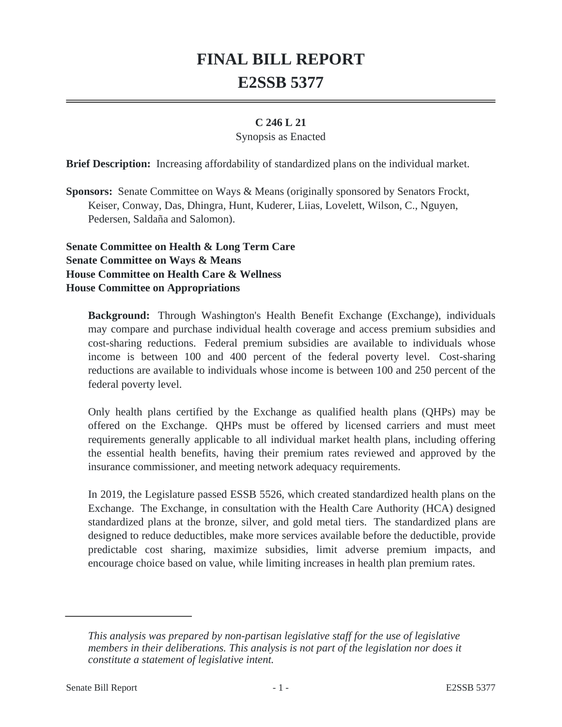## **FINAL BILL REPORT E2SSB 5377**

## **C 246 L 21**

## Synopsis as Enacted

**Brief Description:** Increasing affordability of standardized plans on the individual market.

**Sponsors:** Senate Committee on Ways & Means (originally sponsored by Senators Frockt, Keiser, Conway, Das, Dhingra, Hunt, Kuderer, Liias, Lovelett, Wilson, C., Nguyen, Pedersen, Saldaña and Salomon).

**Senate Committee on Health & Long Term Care Senate Committee on Ways & Means House Committee on Health Care & Wellness House Committee on Appropriations**

**Background:** Through Washington's Health Benefit Exchange (Exchange), individuals may compare and purchase individual health coverage and access premium subsidies and cost-sharing reductions. Federal premium subsidies are available to individuals whose income is between 100 and 400 percent of the federal poverty level. Cost-sharing reductions are available to individuals whose income is between 100 and 250 percent of the federal poverty level.

Only health plans certified by the Exchange as qualified health plans (QHPs) may be offered on the Exchange. QHPs must be offered by licensed carriers and must meet requirements generally applicable to all individual market health plans, including offering the essential health benefits, having their premium rates reviewed and approved by the insurance commissioner, and meeting network adequacy requirements.

In 2019, the Legislature passed ESSB 5526, which created standardized health plans on the Exchange. The Exchange, in consultation with the Health Care Authority (HCA) designed standardized plans at the bronze, silver, and gold metal tiers. The standardized plans are designed to reduce deductibles, make more services available before the deductible, provide predictable cost sharing, maximize subsidies, limit adverse premium impacts, and encourage choice based on value, while limiting increases in health plan premium rates.

*This analysis was prepared by non-partisan legislative staff for the use of legislative members in their deliberations. This analysis is not part of the legislation nor does it constitute a statement of legislative intent.*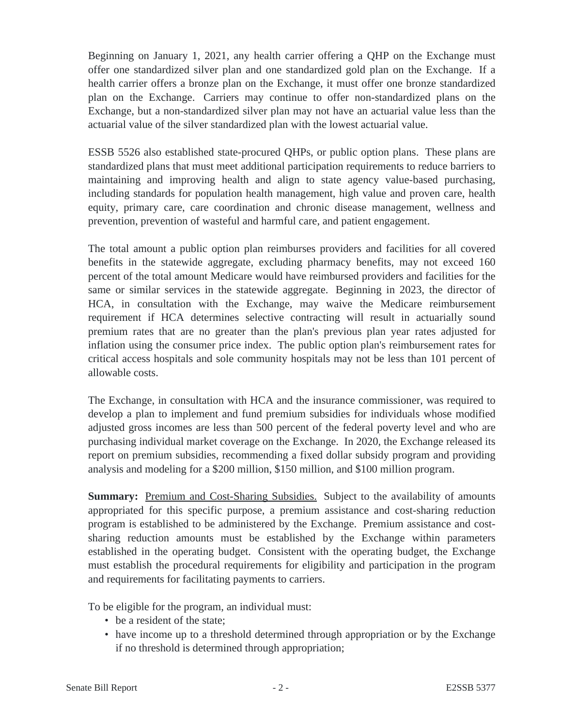Beginning on January 1, 2021, any health carrier offering a QHP on the Exchange must offer one standardized silver plan and one standardized gold plan on the Exchange. If a health carrier offers a bronze plan on the Exchange, it must offer one bronze standardized plan on the Exchange. Carriers may continue to offer non-standardized plans on the Exchange, but a non-standardized silver plan may not have an actuarial value less than the actuarial value of the silver standardized plan with the lowest actuarial value.

ESSB 5526 also established state-procured QHPs, or public option plans. These plans are standardized plans that must meet additional participation requirements to reduce barriers to maintaining and improving health and align to state agency value-based purchasing, including standards for population health management, high value and proven care, health equity, primary care, care coordination and chronic disease management, wellness and prevention, prevention of wasteful and harmful care, and patient engagement.

The total amount a public option plan reimburses providers and facilities for all covered benefits in the statewide aggregate, excluding pharmacy benefits, may not exceed 160 percent of the total amount Medicare would have reimbursed providers and facilities for the same or similar services in the statewide aggregate. Beginning in 2023, the director of HCA, in consultation with the Exchange, may waive the Medicare reimbursement requirement if HCA determines selective contracting will result in actuarially sound premium rates that are no greater than the plan's previous plan year rates adjusted for inflation using the consumer price index. The public option plan's reimbursement rates for critical access hospitals and sole community hospitals may not be less than 101 percent of allowable costs.

The Exchange, in consultation with HCA and the insurance commissioner, was required to develop a plan to implement and fund premium subsidies for individuals whose modified adjusted gross incomes are less than 500 percent of the federal poverty level and who are purchasing individual market coverage on the Exchange. In 2020, the Exchange released its report on premium subsidies, recommending a fixed dollar subsidy program and providing analysis and modeling for a \$200 million, \$150 million, and \$100 million program.

**Summary:** Premium and Cost-Sharing Subsidies. Subject to the availability of amounts appropriated for this specific purpose, a premium assistance and cost-sharing reduction program is established to be administered by the Exchange. Premium assistance and costsharing reduction amounts must be established by the Exchange within parameters established in the operating budget. Consistent with the operating budget, the Exchange must establish the procedural requirements for eligibility and participation in the program and requirements for facilitating payments to carriers.

To be eligible for the program, an individual must:

- be a resident of the state:
- have income up to a threshold determined through appropriation or by the Exchange if no threshold is determined through appropriation;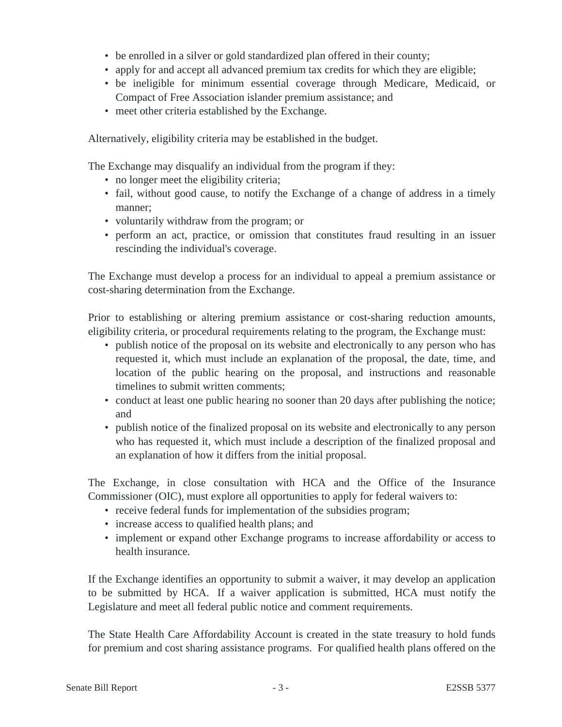- be enrolled in a silver or gold standardized plan offered in their county;
- apply for and accept all advanced premium tax credits for which they are eligible;
- be ineligible for minimum essential coverage through Medicare, Medicaid, or Compact of Free Association islander premium assistance; and
- meet other criteria established by the Exchange.

Alternatively, eligibility criteria may be established in the budget.

The Exchange may disqualify an individual from the program if they:

- no longer meet the eligibility criteria;
- fail, without good cause, to notify the Exchange of a change of address in a timely manner;
- voluntarily withdraw from the program; or
- perform an act, practice, or omission that constitutes fraud resulting in an issuer rescinding the individual's coverage.

The Exchange must develop a process for an individual to appeal a premium assistance or cost-sharing determination from the Exchange.

Prior to establishing or altering premium assistance or cost-sharing reduction amounts, eligibility criteria, or procedural requirements relating to the program, the Exchange must:

- publish notice of the proposal on its website and electronically to any person who has requested it, which must include an explanation of the proposal, the date, time, and location of the public hearing on the proposal, and instructions and reasonable timelines to submit written comments;
- conduct at least one public hearing no sooner than 20 days after publishing the notice; and
- publish notice of the finalized proposal on its website and electronically to any person who has requested it, which must include a description of the finalized proposal and an explanation of how it differs from the initial proposal.

The Exchange, in close consultation with HCA and the Office of the Insurance Commissioner (OIC), must explore all opportunities to apply for federal waivers to:

- receive federal funds for implementation of the subsidies program;
- increase access to qualified health plans; and
- implement or expand other Exchange programs to increase affordability or access to health insurance.

If the Exchange identifies an opportunity to submit a waiver, it may develop an application to be submitted by HCA. If a waiver application is submitted, HCA must notify the Legislature and meet all federal public notice and comment requirements.

The State Health Care Affordability Account is created in the state treasury to hold funds for premium and cost sharing assistance programs. For qualified health plans offered on the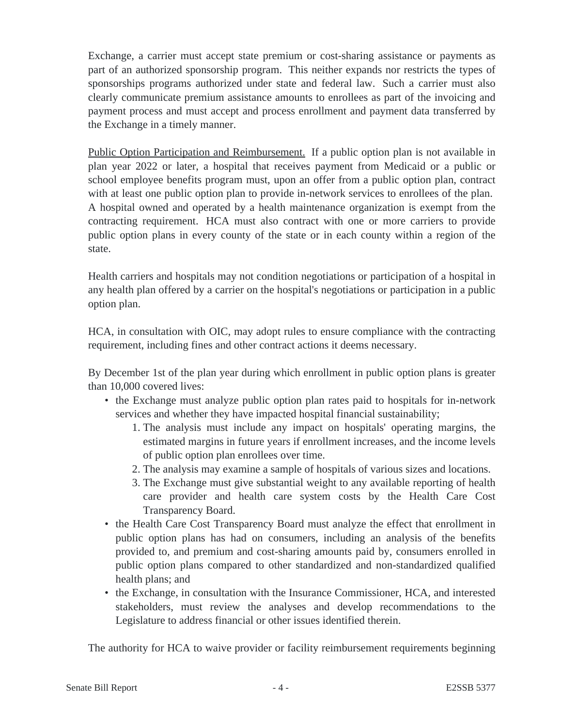Exchange, a carrier must accept state premium or cost-sharing assistance or payments as part of an authorized sponsorship program. This neither expands nor restricts the types of sponsorships programs authorized under state and federal law. Such a carrier must also clearly communicate premium assistance amounts to enrollees as part of the invoicing and payment process and must accept and process enrollment and payment data transferred by the Exchange in a timely manner.

Public Option Participation and Reimbursement. If a public option plan is not available in plan year 2022 or later, a hospital that receives payment from Medicaid or a public or school employee benefits program must, upon an offer from a public option plan, contract with at least one public option plan to provide in-network services to enrollees of the plan. A hospital owned and operated by a health maintenance organization is exempt from the contracting requirement. HCA must also contract with one or more carriers to provide public option plans in every county of the state or in each county within a region of the state.

Health carriers and hospitals may not condition negotiations or participation of a hospital in any health plan offered by a carrier on the hospital's negotiations or participation in a public option plan.

HCA, in consultation with OIC, may adopt rules to ensure compliance with the contracting requirement, including fines and other contract actions it deems necessary.

By December 1st of the plan year during which enrollment in public option plans is greater than 10,000 covered lives:

- the Exchange must analyze public option plan rates paid to hospitals for in-network services and whether they have impacted hospital financial sustainability;
	- 1. The analysis must include any impact on hospitals' operating margins, the estimated margins in future years if enrollment increases, and the income levels of public option plan enrollees over time.
	- 2. The analysis may examine a sample of hospitals of various sizes and locations.
	- 3. The Exchange must give substantial weight to any available reporting of health care provider and health care system costs by the Health Care Cost Transparency Board.
- the Health Care Cost Transparency Board must analyze the effect that enrollment in public option plans has had on consumers, including an analysis of the benefits provided to, and premium and cost-sharing amounts paid by, consumers enrolled in public option plans compared to other standardized and non-standardized qualified health plans; and
- the Exchange, in consultation with the Insurance Commissioner, HCA, and interested stakeholders, must review the analyses and develop recommendations to the Legislature to address financial or other issues identified therein.

The authority for HCA to waive provider or facility reimbursement requirements beginning